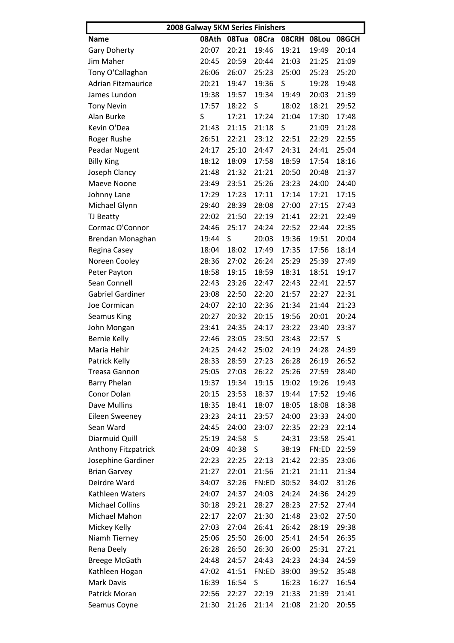|                           |       | 2008 Galway 5KM Series Finishers |       |         |       |       |  |  |
|---------------------------|-------|----------------------------------|-------|---------|-------|-------|--|--|
| <b>Name</b>               | 08Ath | 08Tua                            | 08Cra | 08CRH   | 08Lou | 08GCH |  |  |
| <b>Gary Doherty</b>       | 20:07 | 20:21                            | 19:46 | 19:21   | 19:49 | 20:14 |  |  |
| Jim Maher                 | 20:45 | 20:59                            | 20:44 | 21:03   | 21:25 | 21:09 |  |  |
| Tony O'Callaghan          | 26:06 | 26:07                            | 25:23 | 25:00   | 25:23 | 25:20 |  |  |
| <b>Adrian Fitzmaurice</b> | 20:21 | 19:47                            | 19:36 | $\sf S$ | 19:28 | 19:48 |  |  |
| James Lundon              | 19:38 | 19:57                            | 19:34 | 19:49   | 20:03 | 21:39 |  |  |
| <b>Tony Nevin</b>         | 17:57 | 18:22                            | S     | 18:02   | 18:21 | 29:52 |  |  |
| Alan Burke                | S     | 17:21                            | 17:24 | 21:04   | 17:30 | 17:48 |  |  |
| Kevin O'Dea               | 21:43 | 21:15                            | 21:18 | S       | 21:09 | 21:28 |  |  |
| Roger Rushe               | 26:51 | 22:21                            | 23:12 | 22:51   | 22:29 | 22:55 |  |  |
| Peadar Nugent             | 24:17 | 25:10                            | 24:47 | 24:31   | 24:41 | 25:04 |  |  |
| <b>Billy King</b>         | 18:12 | 18:09                            | 17:58 | 18:59   | 17:54 | 18:16 |  |  |
| Joseph Clancy             | 21:48 | 21:32                            | 21:21 | 20:50   | 20:48 | 21:37 |  |  |
| Maeve Noone               | 23:49 | 23:51                            | 25:26 | 23:23   | 24:00 | 24:40 |  |  |
| Johnny Lane               | 17:29 | 17:23                            | 17:11 | 17:14   | 17:21 | 17:15 |  |  |
| Michael Glynn             | 29:40 | 28:39                            | 28:08 | 27:00   | 27:15 | 27:43 |  |  |
| TJ Beatty                 | 22:02 | 21:50                            | 22:19 | 21:41   | 22:21 | 22:49 |  |  |
| Cormac O'Connor           | 24:46 | 25:17                            | 24:24 | 22:52   | 22:44 | 22:35 |  |  |
| Brendan Monaghan          | 19:44 | S                                | 20:03 | 19:36   | 19:51 | 20:04 |  |  |
| Regina Casey              | 18:04 | 18:02                            | 17:49 | 17:35   | 17:56 | 18:14 |  |  |
| Noreen Cooley             | 28:36 | 27:02                            | 26:24 | 25:29   | 25:39 | 27:49 |  |  |
| Peter Payton              | 18:58 | 19:15                            | 18:59 | 18:31   | 18:51 | 19:17 |  |  |
| Sean Connell              | 22:43 | 23:26                            | 22:47 | 22:43   | 22:41 | 22:57 |  |  |
| <b>Gabriel Gardiner</b>   | 23:08 | 22:50                            | 22:20 | 21:57   | 22:27 | 22:31 |  |  |
| Joe Cormican              | 24:07 | 22:10                            | 22:36 | 21:34   | 21:44 | 21:23 |  |  |
| <b>Seamus King</b>        | 20:27 | 20:32                            | 20:15 | 19:56   | 20:01 | 20:24 |  |  |
| John Mongan               | 23:41 | 24:35                            | 24:17 | 23:22   | 23:40 | 23:37 |  |  |
| <b>Bernie Kelly</b>       | 22:46 | 23:05                            | 23:50 | 23:43   | 22:57 | S     |  |  |
| Maria Hehir               | 24:25 | 24:42                            | 25:02 | 24:19   | 24:28 | 24:39 |  |  |
| Patrick Kelly             | 28:33 | 28:59                            | 27:23 | 26:28   | 26:19 | 26:52 |  |  |
| <b>Treasa Gannon</b>      | 25:05 | 27:03                            | 26:22 | 25:26   | 27:59 | 28:40 |  |  |
| <b>Barry Phelan</b>       | 19:37 | 19:34                            | 19:15 | 19:02   | 19:26 | 19:43 |  |  |
| Conor Dolan               | 20:15 | 23:53                            | 18:37 | 19:44   | 17:52 | 19:46 |  |  |
| <b>Dave Mullins</b>       | 18:35 | 18:41                            | 18:07 | 18:05   | 18:08 | 18:38 |  |  |
| <b>Eileen Sweeney</b>     | 23:23 | 24:11                            | 23:57 | 24:00   | 23:33 | 24:00 |  |  |
| Sean Ward                 | 24:45 | 24:00                            | 23:07 | 22:35   | 22:23 | 22:14 |  |  |
| Diarmuid Quill            | 25:19 | 24:58                            | S     | 24:31   | 23:58 | 25:41 |  |  |
| Anthony Fitzpatrick       | 24:09 | 40:38                            | S     | 38:19   | FN:ED | 22:59 |  |  |
| Josephine Gardiner        | 22:23 | 22:25                            | 22:13 | 21:42   | 22:35 | 23:06 |  |  |
| <b>Brian Garvey</b>       | 21:27 | 22:01                            | 21:56 | 21:21   | 21:11 | 21:34 |  |  |
| Deirdre Ward              | 34:07 | 32:26                            | FN:ED | 30:52   | 34:02 | 31:26 |  |  |
| Kathleen Waters           | 24:07 | 24:37                            | 24:03 | 24:24   | 24:36 | 24:29 |  |  |
| <b>Michael Collins</b>    | 30:18 | 29:21                            | 28:27 | 28:23   | 27:52 | 27:44 |  |  |
| Michael Mahon             |       |                                  |       |         |       |       |  |  |
|                           | 22:17 | 22:07                            | 21:30 | 21:48   | 23:02 | 27:50 |  |  |
| Mickey Kelly              | 27:03 | 27:04                            | 26:41 | 26:42   | 28:19 | 29:38 |  |  |
| Niamh Tierney             | 25:06 | 25:50                            | 26:00 | 25:41   | 24:54 | 26:35 |  |  |
| Rena Deely                | 26:28 | 26:50                            | 26:30 | 26:00   | 25:31 | 27:21 |  |  |
| <b>Breege McGath</b>      | 24:48 | 24:57                            | 24:43 | 24:23   | 24:34 | 24:59 |  |  |
| Kathleen Hogan            | 47:02 | 41:51                            | FN:ED | 39:00   | 39:52 | 35:48 |  |  |
| Mark Davis                | 16:39 | 16:54                            | S     | 16:23   | 16:27 | 16:54 |  |  |
| Patrick Moran             | 22:56 | 22:27                            | 22:19 | 21:33   | 21:39 | 21:41 |  |  |
| Seamus Coyne              | 21:30 | 21:26                            | 21:14 | 21:08   | 21:20 | 20:55 |  |  |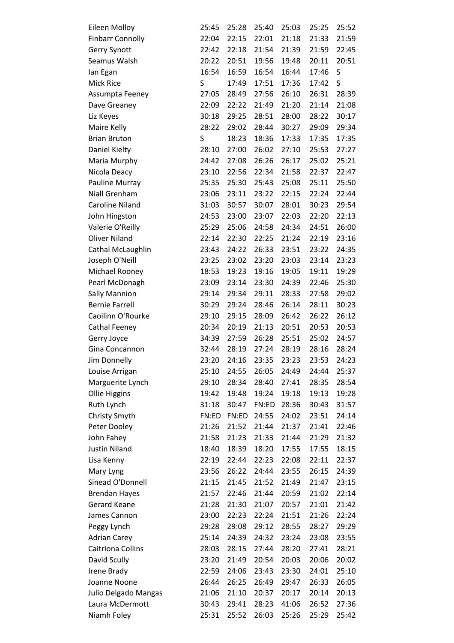| Eileen Molloy           | 25:45 | 25:28 | 25:40 | 25:03 | 25:25 | 25:52 |
|-------------------------|-------|-------|-------|-------|-------|-------|
| <b>Finbarr Connolly</b> | 22:04 | 22:15 | 22:01 | 21:18 | 21:33 | 21:59 |
| <b>Gerry Synott</b>     | 22:42 | 22:18 | 21:54 | 21:39 | 21:59 | 22:45 |
| Seamus Walsh            | 20:22 | 20:51 | 19:56 | 19:48 | 20:11 | 20:51 |
| lan Egan                | 16:54 | 16:59 | 16:54 | 16:44 | 17:46 | S     |
| Mick Rice               | S     | 17:49 | 17:51 | 17:36 | 17:42 | S     |
| Assumpta Feeney         | 27:05 | 28:49 | 27:56 | 26:10 | 26:31 | 28:39 |
| Dave Greaney            | 22:09 | 22:22 | 21:49 | 21:20 | 21:14 | 21:08 |
| Liz Keyes               | 30:18 | 29:25 | 28:51 | 28:00 | 28:22 | 30:17 |
| Maire Kelly             | 28:22 | 29:02 | 28:44 | 30:27 | 29:09 | 29:34 |
| <b>Brian Bruton</b>     | S     | 18:23 | 18:36 | 17:33 | 17:35 | 17:35 |
| Daniel Kielty           | 28:10 | 27:00 | 26:02 | 27:10 | 25:53 | 27:27 |
| Maria Murphy            | 24:42 | 27:08 | 26:26 | 26:17 | 25:02 | 25:21 |
| Nicola Deacy            | 23:10 | 22:56 | 22:34 | 21:58 | 22:37 | 22:47 |
| Pauline Murray          | 25:35 | 25:30 | 25:43 | 25:08 | 25:11 | 25:50 |
| Niall Grenham           | 23:06 | 23:11 | 23:22 | 22:15 | 22:24 | 22:44 |
| <b>Caroline Niland</b>  | 31:03 | 30:57 | 30:07 | 28:01 | 30:23 | 29:54 |
| John Hingston           | 24:53 | 23:00 | 23:07 | 22:03 | 22:20 | 22:13 |
| Valerie O'Reilly        | 25:29 | 25:06 | 24:58 | 24:34 | 24:51 | 26:00 |
| <b>Oliver Niland</b>    | 22:14 | 22:30 | 22:25 | 21:24 | 22:19 | 23:16 |
| Cathal McLaughlin       | 23:43 | 24:22 | 26:33 | 23:51 | 23:22 | 24:35 |
| Joseph O'Neill          | 23:25 | 23:02 | 23:20 | 23:03 | 23:14 | 23:23 |
| Michael Rooney          | 18:53 | 19:23 | 19:16 | 19:05 | 19:11 | 19:29 |
| Pearl McDonagh          | 23:09 | 23:14 | 23:30 | 24:39 | 22:46 | 25:30 |
| <b>Sally Mannion</b>    | 29:14 | 29:34 | 29:11 | 28:33 | 27:58 | 29:02 |
| <b>Bernie Farrell</b>   | 30:29 | 29:24 | 28:46 | 26:14 | 28:11 | 30:23 |
| Caoilinn O'Rourke       | 29:10 | 29:15 | 28:09 | 26:42 | 26:22 | 26:12 |
| Cathal Feeney           | 20:34 | 20:19 | 21:13 | 20:51 | 20:53 | 20:53 |
| Gerry Joyce             | 34:39 | 27:59 | 26:28 | 25:51 | 25:02 | 24:57 |
| Gina Concannon          | 32:44 | 28:19 | 27:24 | 28:19 | 28:16 | 28:24 |
| Jim Donnelly            | 23:20 | 24:16 | 23:35 | 23:23 | 23:53 | 24:23 |
| Louise Arrigan          | 25:10 | 24:55 | 26:05 | 24:49 | 24:44 | 25:37 |
| Marguerite Lynch        | 29:10 | 28:34 | 28:40 | 27:41 | 28:35 | 28:54 |
| Ollie Higgins           | 19:42 | 19:48 | 19:24 | 19:18 | 19:13 | 19:28 |
| Ruth Lynch              | 31:18 | 30:47 | FN:ED | 28:36 | 30:43 | 31:57 |
| Christy Smyth           | FN:ED | FN:ED | 24:55 | 24:02 | 23:51 | 24:14 |
| Peter Dooley            | 21:26 | 21:52 | 21:44 | 21:37 | 21:41 | 22:46 |
| John Fahey              | 21:58 | 21:23 | 21:33 | 21:44 | 21:29 | 21:32 |
| <b>Justin Niland</b>    | 18:40 | 18:39 | 18:20 | 17:55 | 17:55 | 18:15 |
| Lisa Kenny              | 22:19 | 22:44 | 22:23 | 22:08 | 22:11 | 22:37 |
| Mary Lyng               | 23:56 | 26:22 | 24:44 | 23:55 | 26:15 | 24:39 |
| Sinead O'Donnell        | 21:15 | 21:45 | 21:52 | 21:49 | 21:47 | 23:15 |
| <b>Brendan Hayes</b>    | 21:57 | 22:46 | 21:44 | 20:59 | 21:02 | 22:14 |
| <b>Gerard Keane</b>     | 21:28 | 21:30 | 21:07 | 20:57 | 21:01 | 21:42 |
| James Cannon            | 23:00 | 22:23 | 22:24 | 21:51 | 21:26 | 22:24 |
| Peggy Lynch             | 29:28 | 29:08 | 29:12 | 28:55 | 28:27 | 29:29 |
| <b>Adrian Carey</b>     | 25:14 | 24:39 | 24:32 | 23:24 | 23:08 | 23:55 |
| Caitriona Collins       | 28:03 | 28:15 | 27:44 | 28:20 | 27:41 | 28:21 |
| David Scully            | 23:20 | 21:49 | 20:54 | 20:03 | 20:06 | 20:02 |
| Irene Brady             | 22:59 | 24:06 | 23:43 | 23:30 | 24:01 | 25:10 |
| Joanne Noone            | 26:44 | 26:25 | 26:49 | 29:47 | 26:33 | 26:05 |
| Julio Delgado Mangas    | 21:06 | 21:10 | 20:37 | 20:17 | 20:14 | 20:13 |
| Laura McDermott         | 30:43 | 29:41 | 28:23 | 41:06 | 26:52 | 27:36 |
| Niamh Foley             | 25:31 | 25:52 | 26:03 | 25:26 | 25:29 | 25:42 |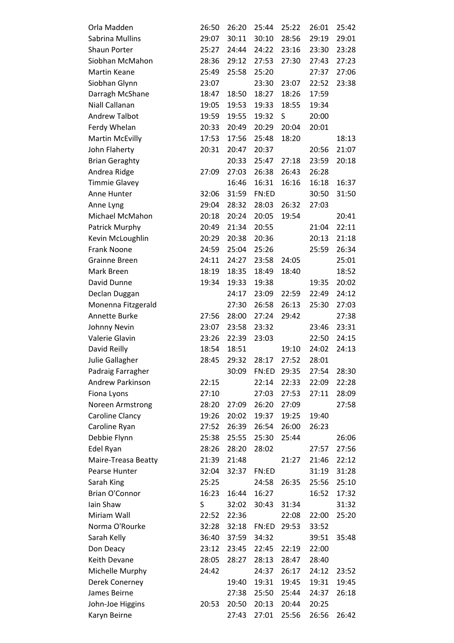| Orla Madden            | 26:50 | 26:20 | 25:44 | 25:22 | 26:01 | 25:42 |
|------------------------|-------|-------|-------|-------|-------|-------|
| Sabrina Mullins        | 29:07 | 30:11 | 30:10 | 28:56 | 29:19 | 29:01 |
| Shaun Porter           | 25:27 | 24:44 | 24:22 | 23:16 | 23:30 | 23:28 |
| Siobhan McMahon        | 28:36 | 29:12 | 27:53 | 27:30 | 27:43 | 27:23 |
| Martin Keane           | 25:49 | 25:58 | 25:20 |       | 27:37 | 27:06 |
| Siobhan Glynn          | 23:07 |       | 23:30 | 23:07 | 22:52 | 23:38 |
| Darragh McShane        | 18:47 | 18:50 | 18:27 | 18:26 | 17:59 |       |
| Niall Callanan         | 19:05 | 19:53 | 19:33 | 18:55 | 19:34 |       |
| <b>Andrew Talbot</b>   | 19:59 | 19:55 | 19:32 | S     | 20:00 |       |
| Ferdy Whelan           | 20:33 | 20:49 | 20:29 | 20:04 | 20:01 |       |
| <b>Martin McEvilly</b> | 17:53 | 17:56 | 25:48 | 18:20 |       | 18:13 |
| John Flaherty          | 20:31 | 20:47 | 20:37 |       | 20:56 | 21:07 |
| <b>Brian Geraghty</b>  |       | 20:33 | 25:47 | 27:18 | 23:59 | 20:18 |
| Andrea Ridge           | 27:09 | 27:03 | 26:38 | 26:43 | 26:28 |       |
| <b>Timmie Glavey</b>   |       | 16:46 | 16:31 | 16:16 | 16:18 | 16:37 |
| Anne Hunter            | 32:06 | 31:59 | FN:ED |       | 30:50 | 31:50 |
| Anne Lyng              | 29:04 | 28:32 | 28:03 | 26:32 | 27:03 |       |
| Michael McMahon        | 20:18 | 20:24 | 20:05 | 19:54 |       | 20:41 |
| Patrick Murphy         | 20:49 | 21:34 | 20:55 |       | 21:04 | 22:11 |
| Kevin McLoughlin       | 20:29 | 20:38 | 20:36 |       | 20:13 | 21:18 |
| Frank Noone            | 24:59 | 25:04 | 25:26 |       | 25:59 | 26:34 |
| <b>Grainne Breen</b>   | 24:11 | 24:27 | 23:58 | 24:05 |       | 25:01 |
| Mark Breen             | 18:19 | 18:35 | 18:49 | 18:40 |       | 18:52 |
| David Dunne            | 19:34 | 19:33 | 19:38 |       | 19:35 | 20:02 |
| Declan Duggan          |       | 24:17 | 23:09 | 22:59 | 22:49 | 24:12 |
| Monenna Fitzgerald     |       | 27:30 | 26:58 | 26:13 | 25:30 | 27:03 |
| Annette Burke          | 27:56 | 28:00 | 27:24 | 29:42 |       | 27:38 |
| Johnny Nevin           | 23:07 | 23:58 | 23:32 |       | 23:46 | 23:31 |
| Valerie Glavin         | 23:26 | 22:39 | 23:03 |       | 22:50 | 24:15 |
| David Reilly           | 18:54 | 18:51 |       | 19:10 | 24:02 | 24:13 |
| Julie Gallagher        | 28:45 | 29:32 | 28:17 | 27:52 | 28:01 |       |
| Padraig Farragher      |       | 30:09 | FN:ED | 29:35 | 27:54 | 28:30 |
| Andrew Parkinson       | 22:15 |       | 22:14 | 22:33 | 22:09 | 22:28 |
| Fiona Lyons            | 27:10 |       | 27:03 | 27:53 | 27:11 | 28:09 |
| Noreen Armstrong       | 28:20 | 27:09 | 26:20 | 27:09 |       | 27:58 |
| Caroline Clancy        | 19:26 | 20:02 | 19:37 | 19:25 | 19:40 |       |
| Caroline Ryan          | 27:52 | 26:39 | 26:54 | 26:00 | 26:23 |       |
| Debbie Flynn           | 25:38 | 25:55 | 25:30 | 25:44 |       | 26:06 |
| Edel Ryan              | 28:26 | 28:20 | 28:02 |       | 27:57 | 27:56 |
| Maire-Treasa Beatty    | 21:39 | 21:48 |       | 21:27 | 21:46 | 22:12 |
| Pearse Hunter          | 32:04 | 32:37 | FN:ED |       | 31:19 | 31:28 |
| Sarah King             | 25:25 |       | 24:58 | 26:35 | 25:56 | 25:10 |
| <b>Brian O'Connor</b>  | 16:23 | 16:44 | 16:27 |       | 16:52 | 17:32 |
| Iain Shaw              | S     | 32:02 | 30:43 | 31:34 |       | 31:32 |
| Miriam Wall            | 22:52 | 22:36 |       | 22:08 | 22:00 | 25:20 |
| Norma O'Rourke         | 32:28 | 32:18 | FN:ED | 29:53 | 33:52 |       |
| Sarah Kelly            | 36:40 | 37:59 | 34:32 |       | 39:51 | 35:48 |
| Don Deacy              | 23:12 | 23:45 | 22:45 | 22:19 | 22:00 |       |
| Keith Devane           | 28:05 | 28:27 | 28:13 | 28:47 | 28:40 |       |
| Michelle Murphy        | 24:42 |       | 24:37 | 26:17 | 24:12 | 23:52 |
| Derek Conerney         |       | 19:40 | 19:31 | 19:45 | 19:31 | 19:45 |
| James Beirne           |       | 27:38 | 25:50 | 25:44 | 24:37 | 26:18 |
| John-Joe Higgins       | 20:53 | 20:50 | 20:13 | 20:44 | 20:25 |       |
| Karyn Beirne           |       | 27:43 | 27:01 | 25:56 | 26:56 | 26:42 |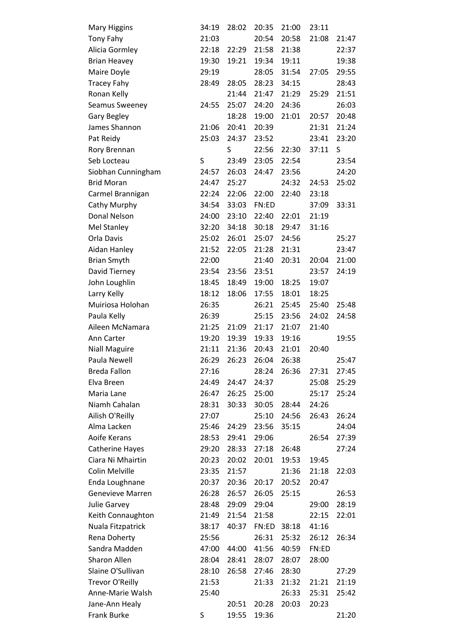| <b>Mary Higgins</b>     | 34:19 | 28:02 | 20:35 | 21:00 | 23:11 |       |
|-------------------------|-------|-------|-------|-------|-------|-------|
| Tony Fahy               | 21:03 |       | 20:54 | 20:58 | 21:08 | 21:47 |
| Alicia Gormley          | 22:18 | 22:29 | 21:58 | 21:38 |       | 22:37 |
| <b>Brian Heavey</b>     | 19:30 | 19:21 | 19:34 | 19:11 |       | 19:38 |
| Maire Doyle             | 29:19 |       | 28:05 | 31:54 | 27:05 | 29:55 |
| <b>Tracey Fahy</b>      | 28:49 | 28:05 | 28:23 | 34:15 |       | 28:43 |
| Ronan Kelly             |       | 21:44 | 21:47 | 21:29 | 25:29 | 21:51 |
| Seamus Sweeney          | 24:55 | 25:07 | 24:20 | 24:36 |       | 26:03 |
| Gary Begley             |       | 18:28 | 19:00 | 21:01 | 20:57 | 20:48 |
| James Shannon           | 21:06 | 20:41 | 20:39 |       | 21:31 | 21:24 |
| Pat Reidy               | 25:03 | 24:37 | 23:52 |       | 23:41 | 23:20 |
| Rory Brennan            |       | S     | 22:56 | 22:30 | 37:11 | S     |
| Seb Locteau             | S     | 23:49 | 23:05 | 22:54 |       | 23:54 |
| Siobhan Cunningham      | 24:57 | 26:03 | 24:47 | 23:56 |       | 24:20 |
| <b>Brid Moran</b>       | 24:47 | 25:27 |       | 24:32 | 24:53 | 25:02 |
| Carmel Brannigan        | 22:24 | 22:06 | 22:00 | 22:40 | 23:18 |       |
| Cathy Murphy            | 34:54 | 33:03 | FN:ED |       | 37:09 | 33:31 |
| Donal Nelson            | 24:00 | 23:10 | 22:40 | 22:01 | 21:19 |       |
| <b>Mel Stanley</b>      | 32:20 | 34:18 | 30:18 | 29:47 | 31:16 |       |
| Orla Davis              | 25:02 | 26:01 | 25:07 | 24:56 |       | 25:27 |
| Aidan Hanley            | 21:52 | 22:05 | 21:28 | 21:31 |       | 23:47 |
| <b>Brian Smyth</b>      | 22:00 |       | 21:40 | 20:31 | 20:04 | 21:00 |
| David Tierney           | 23:54 | 23:56 | 23:51 |       | 23:57 | 24:19 |
| John Loughlin           | 18:45 | 18:49 | 19:00 | 18:25 | 19:07 |       |
| Larry Kelly             | 18:12 | 18:06 | 17:55 | 18:01 | 18:25 |       |
| Muiriosa Holohan        | 26:35 |       | 26:21 | 25:45 | 25:40 | 25:48 |
| Paula Kelly             | 26:39 |       | 25:15 | 23:56 | 24:02 | 24:58 |
| Aileen McNamara         | 21:25 | 21:09 | 21:17 | 21:07 | 21:40 |       |
| Ann Carter              | 19:20 | 19:39 | 19:33 | 19:16 |       | 19:55 |
| <b>Niall Maguire</b>    | 21:11 | 21:36 | 20:43 | 21:01 | 20:40 |       |
| Paula Newell            | 26:29 | 26:23 | 26:04 | 26:38 |       | 25:47 |
| <b>Breda Fallon</b>     | 27:16 |       | 28:24 | 26:36 | 27:31 | 27:45 |
| Elva Breen              | 24:49 | 24:47 | 24:37 |       | 25:08 | 25:29 |
| Maria Lane              | 26:47 | 26:25 | 25:00 |       | 25:17 | 25:24 |
| Niamh Cahalan           | 28:31 | 30:33 | 30:05 | 28:44 | 24:26 |       |
| Ailish O'Reilly         | 27:07 |       | 25:10 | 24:56 | 26:43 | 26:24 |
| Alma Lacken             | 25:46 | 24:29 | 23:56 | 35:15 |       | 24:04 |
| Aoife Kerans            | 28:53 | 29:41 | 29:06 |       | 26:54 | 27:39 |
| <b>Catherine Hayes</b>  | 29:20 | 28:33 | 27:18 | 26:48 |       | 27:24 |
| Ciara Ni Mhairtin       | 20:23 | 20:02 | 20:01 | 19:53 | 19:45 |       |
| Colin Melville          | 23:35 | 21:57 |       | 21:36 | 21:18 | 22:03 |
| Enda Loughnane          | 20:37 | 20:36 | 20:17 | 20:52 | 20:47 |       |
| <b>Genevieve Marren</b> | 26:28 | 26:57 | 26:05 | 25:15 |       | 26:53 |
| Julie Garvey            | 28:48 | 29:09 | 29:04 |       | 29:00 | 28:19 |
| Keith Connaughton       | 21:49 | 21:54 | 21:58 |       | 22:15 | 22:01 |
| Nuala Fitzpatrick       | 38:17 | 40:37 | FN:ED | 38:18 | 41:16 |       |
| Rena Doherty            | 25:56 |       | 26:31 | 25:32 | 26:12 | 26:34 |
| Sandra Madden           | 47:00 | 44:00 | 41:56 | 40:59 | FN:ED |       |
| Sharon Allen            | 28:04 | 28:41 | 28:07 | 28:07 | 28:00 |       |
| Slaine O'Sullivan       | 28:10 | 26:58 | 27:46 | 28:30 |       | 27:29 |
| Trevor O'Reilly         | 21:53 |       | 21:33 | 21:32 | 21:21 | 21:19 |
| Anne-Marie Walsh        | 25:40 |       |       | 26:33 | 25:31 | 25:42 |
| Jane-Ann Healy          |       | 20:51 | 20:28 | 20:03 | 20:23 |       |
| Frank Burke             | S     | 19:55 | 19:36 |       |       | 21:20 |
|                         |       |       |       |       |       |       |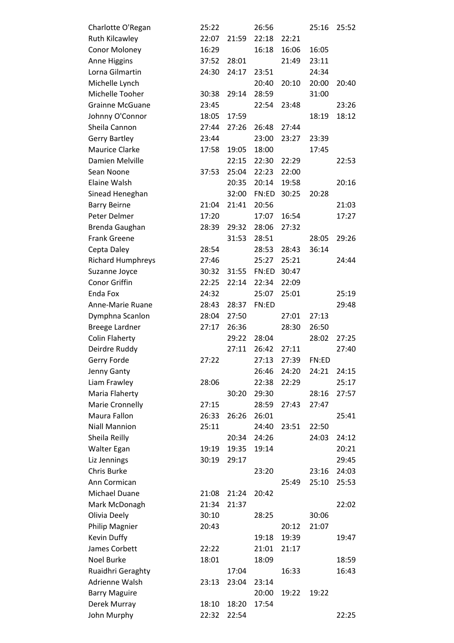| Charlotte O'Regan        | 25:22 |       | 26:56 |       | 25:16 | 25:52 |
|--------------------------|-------|-------|-------|-------|-------|-------|
| <b>Ruth Kilcawley</b>    | 22:07 | 21:59 | 22:18 | 22:21 |       |       |
| <b>Conor Moloney</b>     | 16:29 |       | 16:18 | 16:06 | 16:05 |       |
| Anne Higgins             | 37:52 | 28:01 |       | 21:49 | 23:11 |       |
| Lorna Gilmartin          | 24:30 | 24:17 | 23:51 |       | 24:34 |       |
| Michelle Lynch           |       |       | 20:40 | 20:10 | 20:00 | 20:40 |
| Michelle Tooher          | 30:38 | 29:14 | 28:59 |       | 31:00 |       |
| <b>Grainne McGuane</b>   | 23:45 |       | 22:54 | 23:48 |       | 23:26 |
| Johnny O'Connor          | 18:05 | 17:59 |       |       | 18:19 | 18:12 |
| Sheila Cannon            | 27:44 | 27:26 | 26:48 | 27:44 |       |       |
| <b>Gerry Bartley</b>     | 23:44 |       | 23:00 | 23:27 | 23:39 |       |
| <b>Maurice Clarke</b>    | 17:58 | 19:05 | 18:00 |       | 17:45 |       |
| Damien Melville          |       | 22:15 | 22:30 | 22:29 |       | 22:53 |
| Sean Noone               | 37:53 | 25:04 | 22:23 | 22:00 |       |       |
| Elaine Walsh             |       | 20:35 | 20:14 | 19:58 |       | 20:16 |
| Sinead Heneghan          |       | 32:00 | FN:ED | 30:25 | 20:28 |       |
| <b>Barry Beirne</b>      | 21:04 | 21:41 | 20:56 |       |       | 21:03 |
| Peter Delmer             | 17:20 |       | 17:07 | 16:54 |       | 17:27 |
| Brenda Gaughan           | 28:39 | 29:32 | 28:06 | 27:32 |       |       |
| <b>Frank Greene</b>      |       | 31:53 | 28:51 |       | 28:05 | 29:26 |
| Cepta Daley              | 28:54 |       | 28:53 | 28:43 | 36:14 |       |
| <b>Richard Humphreys</b> | 27:46 |       | 25:27 | 25:21 |       | 24:44 |
| Suzanne Joyce            | 30:32 | 31:55 | FN:ED | 30:47 |       |       |
| Conor Griffin            | 22:25 | 22:14 | 22:34 | 22:09 |       |       |
| Enda Fox                 | 24:32 |       | 25:07 | 25:01 |       | 25:19 |
| Anne-Marie Ruane         | 28:43 | 28:37 | FN:ED |       |       | 29:48 |
| Dymphna Scanlon          | 28:04 | 27:50 |       | 27:01 | 27:13 |       |
|                          |       |       |       |       |       |       |
| <b>Breege Lardner</b>    | 27:17 | 26:36 |       | 28:30 | 26:50 |       |
| <b>Colin Flaherty</b>    |       | 29:22 | 28:04 |       | 28:02 | 27:25 |
| Deirdre Ruddy            |       | 27:11 | 26:42 | 27:11 |       | 27:40 |
| Gerry Forde              | 27:22 |       | 27:13 | 27:39 | FN:ED |       |
| Jenny Ganty              |       |       | 26:46 | 24:20 | 24:21 | 24:15 |
| Liam Frawley             | 28:06 |       | 22:38 | 22:29 |       | 25:17 |
| Maria Flaherty           |       | 30:20 | 29:30 |       | 28:16 | 27:57 |
| Marie Cronnelly          | 27:15 |       | 28:59 | 27:43 | 27:47 |       |
| Maura Fallon             | 26:33 | 26:26 | 26:01 |       |       | 25:41 |
| <b>Niall Mannion</b>     | 25:11 |       | 24:40 | 23:51 | 22:50 |       |
| Sheila Reilly            |       | 20:34 | 24:26 |       | 24:03 | 24:12 |
| Walter Egan              | 19:19 | 19:35 | 19:14 |       |       | 20:21 |
| Liz Jennings             | 30:19 | 29:17 |       |       |       | 29:45 |
| Chris Burke              |       |       | 23:20 |       | 23:16 | 24:03 |
| Ann Cormican             |       |       |       | 25:49 | 25:10 | 25:53 |
| Michael Duane            | 21:08 | 21:24 | 20:42 |       |       |       |
| Mark McDonagh            | 21:34 | 21:37 |       |       |       | 22:02 |
| Olivia Deely             | 30:10 |       | 28:25 |       | 30:06 |       |
| Philip Magnier           | 20:43 |       |       | 20:12 | 21:07 |       |
| Kevin Duffy              |       |       | 19:18 | 19:39 |       | 19:47 |
| James Corbett            | 22:22 |       | 21:01 | 21:17 |       |       |
| <b>Noel Burke</b>        | 18:01 |       | 18:09 |       |       | 18:59 |
| Ruaidhri Geraghty        |       | 17:04 |       | 16:33 |       | 16:43 |
| Adrienne Walsh           | 23:13 | 23:04 | 23:14 |       |       |       |
| <b>Barry Maguire</b>     |       |       | 20:00 | 19:22 | 19:22 |       |
| Derek Murray             | 18:10 | 18:20 | 17:54 |       |       |       |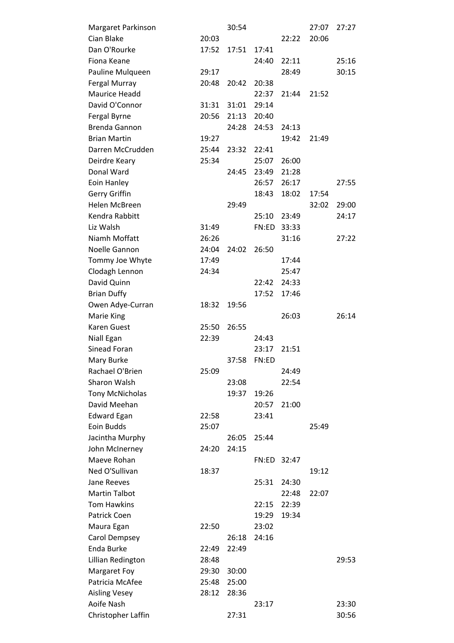| Margaret Parkinson     |       | 30:54 |       |       | 27:07 | 27:27 |
|------------------------|-------|-------|-------|-------|-------|-------|
| Cian Blake             | 20:03 |       |       | 22:22 | 20:06 |       |
| Dan O'Rourke           | 17:52 | 17:51 | 17:41 |       |       |       |
| Fiona Keane            |       |       | 24:40 | 22:11 |       | 25:16 |
| Pauline Mulqueen       | 29:17 |       |       | 28:49 |       | 30:15 |
| Fergal Murray          | 20:48 | 20:42 | 20:38 |       |       |       |
| Maurice Headd          |       |       | 22:37 | 21:44 | 21:52 |       |
| David O'Connor         | 31:31 | 31:01 | 29:14 |       |       |       |
| Fergal Byrne           | 20:56 | 21:13 | 20:40 |       |       |       |
| <b>Brenda Gannon</b>   |       | 24:28 | 24:53 | 24:13 |       |       |
| <b>Brian Martin</b>    | 19:27 |       |       | 19:42 | 21:49 |       |
| Darren McCrudden       | 25:44 | 23:32 | 22:41 |       |       |       |
| Deirdre Keary          | 25:34 |       | 25:07 | 26:00 |       |       |
| Donal Ward             |       | 24:45 | 23:49 | 21:28 |       |       |
| Eoin Hanley            |       |       | 26:57 | 26:17 |       | 27:55 |
| Gerry Griffin          |       |       | 18:43 | 18:02 | 17:54 |       |
| Helen McBreen          |       | 29:49 |       |       | 32:02 | 29:00 |
| Kendra Rabbitt         |       |       | 25:10 | 23:49 |       | 24:17 |
| Liz Walsh              | 31:49 |       | FN:ED | 33:33 |       |       |
| Niamh Moffatt          | 26:26 |       |       | 31:16 |       | 27:22 |
| Noelle Gannon          | 24:04 | 24:02 | 26:50 |       |       |       |
| Tommy Joe Whyte        | 17:49 |       |       | 17:44 |       |       |
| Clodagh Lennon         | 24:34 |       |       | 25:47 |       |       |
| David Quinn            |       |       | 22:42 | 24:33 |       |       |
| <b>Brian Duffy</b>     |       |       | 17:52 | 17:46 |       |       |
| Owen Adye-Curran       | 18:32 | 19:56 |       |       |       |       |
| Marie King             |       |       |       | 26:03 |       | 26:14 |
| Karen Guest            | 25:50 | 26:55 |       |       |       |       |
| Niall Egan             | 22:39 |       | 24:43 |       |       |       |
| Sinead Foran           |       |       | 23:17 | 21:51 |       |       |
| Mary Burke             |       | 37:58 | FN:ED |       |       |       |
| Rachael O'Brien        | 25:09 |       |       | 24:49 |       |       |
| Sharon Walsh           |       | 23:08 |       | 22:54 |       |       |
| <b>Tony McNicholas</b> |       | 19:37 | 19:26 |       |       |       |
| David Meehan           |       |       | 20:57 | 21:00 |       |       |
| <b>Edward Egan</b>     | 22:58 |       | 23:41 |       |       |       |
| Eoin Budds             | 25:07 |       |       |       | 25:49 |       |
| Jacintha Murphy        |       | 26:05 | 25:44 |       |       |       |
| John McInerney         | 24:20 | 24:15 |       |       |       |       |
| Maeve Rohan            |       |       | FN:ED | 32:47 |       |       |
| Ned O'Sullivan         | 18:37 |       |       |       | 19:12 |       |
| Jane Reeves            |       |       | 25:31 | 24:30 |       |       |
| <b>Martin Talbot</b>   |       |       |       | 22:48 | 22:07 |       |
| <b>Tom Hawkins</b>     |       |       | 22:15 | 22:39 |       |       |
| Patrick Coen           |       |       | 19:29 | 19:34 |       |       |
| Maura Egan             | 22:50 |       | 23:02 |       |       |       |
| Carol Dempsey          |       | 26:18 | 24:16 |       |       |       |
| Enda Burke             | 22:49 | 22:49 |       |       |       |       |
| Lillian Redington      | 28:48 |       |       |       |       | 29:53 |
| Margaret Foy           | 29:30 | 30:00 |       |       |       |       |
| Patricia McAfee        | 25:48 | 25:00 |       |       |       |       |
| <b>Aisling Vesey</b>   | 28:12 | 28:36 |       |       |       |       |
| Aoife Nash             |       |       | 23:17 |       |       | 23:30 |
| Christopher Laffin     |       | 27:31 |       |       |       | 30:56 |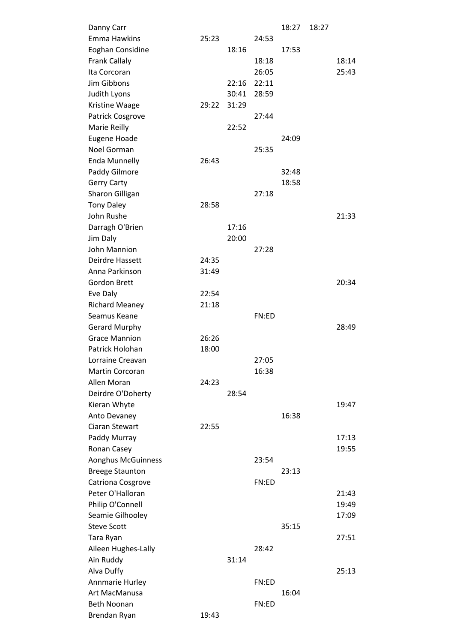| Danny Carr             |       |       |       | 18:27 | 18:27 |       |
|------------------------|-------|-------|-------|-------|-------|-------|
| <b>Emma Hawkins</b>    | 25:23 |       | 24:53 |       |       |       |
| Eoghan Considine       |       | 18:16 |       | 17:53 |       |       |
| <b>Frank Callaly</b>   |       |       | 18:18 |       |       | 18:14 |
| Ita Corcoran           |       |       | 26:05 |       |       | 25:43 |
| Jim Gibbons            |       | 22:16 | 22:11 |       |       |       |
| Judith Lyons           |       | 30:41 | 28:59 |       |       |       |
| Kristine Waage         | 29:22 | 31:29 |       |       |       |       |
| Patrick Cosgrove       |       |       | 27:44 |       |       |       |
| Marie Reilly           |       | 22:52 |       |       |       |       |
| Eugene Hoade           |       |       |       | 24:09 |       |       |
| Noel Gorman            |       |       | 25:35 |       |       |       |
| <b>Enda Munnelly</b>   | 26:43 |       |       |       |       |       |
| Paddy Gilmore          |       |       |       | 32:48 |       |       |
| <b>Gerry Carty</b>     |       |       |       | 18:58 |       |       |
| Sharon Gilligan        |       |       | 27:18 |       |       |       |
| <b>Tony Daley</b>      | 28:58 |       |       |       |       |       |
| John Rushe             |       |       |       |       |       | 21:33 |
| Darragh O'Brien        |       | 17:16 |       |       |       |       |
| Jim Daly               |       | 20:00 |       |       |       |       |
| John Mannion           |       |       | 27:28 |       |       |       |
| Deirdre Hassett        | 24:35 |       |       |       |       |       |
| Anna Parkinson         | 31:49 |       |       |       |       |       |
| <b>Gordon Brett</b>    |       |       |       |       |       | 20:34 |
| Eve Daly               | 22:54 |       |       |       |       |       |
| <b>Richard Meaney</b>  | 21:18 |       |       |       |       |       |
| Seamus Keane           |       |       | FN:ED |       |       |       |
| <b>Gerard Murphy</b>   |       |       |       |       |       | 28:49 |
| <b>Grace Mannion</b>   | 26:26 |       |       |       |       |       |
| Patrick Holohan        | 18:00 |       |       |       |       |       |
| Lorraine Creavan       |       |       | 27:05 |       |       |       |
| <b>Martin Corcoran</b> |       |       | 16:38 |       |       |       |
| Allen Moran            | 24:23 |       |       |       |       |       |
| Deirdre O'Doherty      |       | 28:54 |       |       |       |       |
| Kieran Whyte           |       |       |       |       |       | 19:47 |
| Anto Devaney           |       |       |       | 16:38 |       |       |
| Ciaran Stewart         | 22:55 |       |       |       |       |       |
| Paddy Murray           |       |       |       |       |       | 17:13 |
| Ronan Casey            |       |       |       |       |       | 19:55 |
| Aonghus McGuinness     |       |       | 23:54 |       |       |       |
| <b>Breege Staunton</b> |       |       |       | 23:13 |       |       |
| Catriona Cosgrove      |       |       | FN:ED |       |       |       |
| Peter O'Halloran       |       |       |       |       |       | 21:43 |
| Philip O'Connell       |       |       |       |       |       | 19:49 |
| Seamie Gilhooley       |       |       |       |       |       | 17:09 |
| <b>Steve Scott</b>     |       |       |       | 35:15 |       |       |
| Tara Ryan              |       |       |       |       |       | 27:51 |
| Aileen Hughes-Lally    |       |       | 28:42 |       |       |       |
| Ain Ruddy              |       | 31:14 |       |       |       |       |
| Alva Duffy             |       |       |       |       |       | 25:13 |
| Annmarie Hurley        |       |       | FN:ED |       |       |       |
| Art MacManusa          |       |       |       | 16:04 |       |       |
| <b>Beth Noonan</b>     |       |       | FN:ED |       |       |       |
| Brendan Ryan           | 19:43 |       |       |       |       |       |